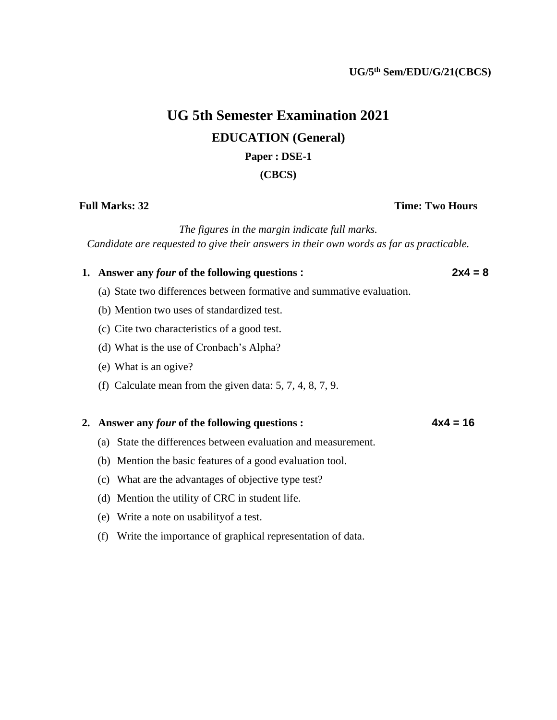# **UG 5th Semester Examination 2021 EDUCATION (General)**

## **Paper : DSE-1**

### **(CBCS)**

### *The figures in the margin indicate full marks.*

*Candidate are requested to give their answers in their own words as far as practicable.*

## **1. Answer any** *four* **of the following questions : 2x4 = 8**

- (a) State two differences between formative and summative evaluation.
- (b) Mention two uses of standardized test.
- (c) Cite two characteristics of a good test.
- (d) What is the use of Cronbach's Alpha?
- (e) What is an ogive?
- (f) Calculate mean from the given data: 5, 7, 4, 8, 7, 9.

### **2. Answer any** *four* **of the following questions : 4x4 = 16**

- (a) State the differences between evaluation and measurement.
- (b) Mention the basic features of a good evaluation tool.
- (c) What are the advantages of objective type test?
- (d) Mention the utility of CRC in student life.
- (e) Write a note on usabilityof a test.
- (f) Write the importance of graphical representation of data.

## **Full Marks: 32 Time: Two Hours**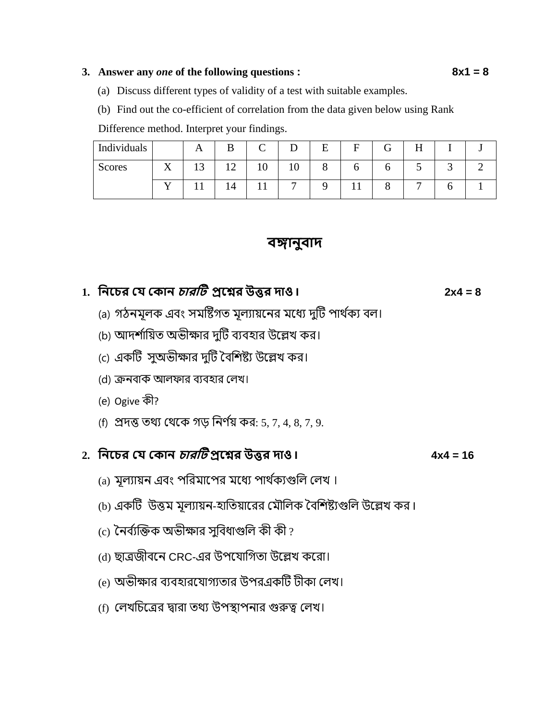### **3. Answer any** *one* **of the following questions : 8x1 = 8**

- 
- (a) Discuss different types of validity of a test with suitable examples.
- (b) Find out the co-efficient of correlation from the data given below using Rank

Difference method. Interpret your findings.

| Individuals   |           | А |   | $\mathsf{\Gamma}$ |                | E | F | G. | H |  |
|---------------|-----------|---|---|-------------------|----------------|---|---|----|---|--|
| <b>Scores</b> | $\Lambda$ |   | ∸ | 10                | 10             | Ω |   |    |   |  |
|               |           |   |   | ⊥⊥                | $\overline{ }$ |   |   |    |   |  |

## **বঙ্গানুবাদ**

## **1. ননচের যে য ান োরটি প্রচের উত্তর দাও I 2x4 = 8**

- (a) গঠনমূলক এবং সমষ্টিগত মূল্যায়নের মধ্যে দুটি পার্থক্য বল।
- (b) আদর্শায়িত অভীক্ষার দুটি ব্যবহার উল্লেখ কর।
- (c) একটি সুঅভীক্ষার দুটি বৈশিষ্ট্য উল্লেখ কর।
- (d) ক্রনবাক আলফার বযবহার ললখ।
- (e) Ogive কী?
- (f) প্রদত্ত তর্য লর্নক গড় যনর্ থয় কর: 5, 7, 4, 8, 7, 9.

## **2. ননচের যে য ান োরটি প্রচের উত্তর দাও I 4x4 = 16**

- (a) মূল্যায়ন এবং পরিমাপের মধ্যে পার্থক্যগুলি লেখ।
- (b) একটি উত্তম মূল্যায়ন-হাতিয়ারের মৌলিক বৈশিষ্ট্যগুলি উল্লেখ কর।
- $\overline{c}$ ) নৈৰ্ব্যক্তিক অভীক্ষার সুবিধাগুলি কী কী ?
- (d) ছাত্রজীবনে CRC-এর উপযোগিতা উল্লেখ করো।
- (e) অভীক্ষার ব্যবহারযোগ্যতার উপরএকটি টীকা লেখ।
- (f) ললখযিনত্রর দ্বারা তর্য উপস্থাপনার গুরুত্ব ললখ।